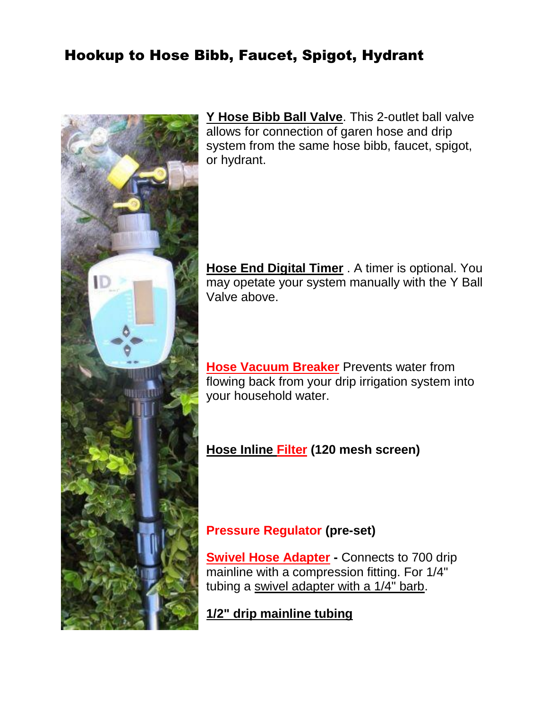### Hookup to Hose Bibb, Faucet, Spigot, Hydrant



**[Y Hose Bibb Ball Valve](http://www.irrigationdirect.com/catalog/product/view/id/280/s/dd-ybv75/category/82/)**. This 2-outlet ball valve allows for connection of garen hose and drip system from the same hose bibb, faucet, spigot, or hydrant.

**[Hose End Digital Timer](http://www.irrigationdirect.com/catalog/product/view/id/249/s/dd-hedt/category/82/)** . A timer is optional. You may opetate your system manually with the Y Ball Valve above.

**[Hose Vacuum Breaker](http://www.irrigationdirect.com/catalog/product/view/id/283/s/dd-hvb/category/82/)** Prevents water from flowing back from your drip irrigation system into your household water.

**[Hose Inline Filter](http://www.irrigationdirect.com/catalog/product/view/id/272/s/dd-hif75/category/82/) (120 mesh screen)**

#### **Pressure Regulator (pre-set)**

**[Swivel Hose Adapter](http://www.irrigationdirect.com/catalog/product/view/id/278/s/dd-chs700/category/82/) -** Connects to 700 drip mainline with a compression fitting. For 1/4" tubing a [swivel adapter with a 1/4" barb.](http://www.irrigationdirect.com/catalog/product/view/id/382/s/dd-chs250/category/82/)

**[1/2" drip mainline tubing](http://www.irrigationdirect.com/catalog/product/view/id/305/s/dd-dh700-100/category/82/)**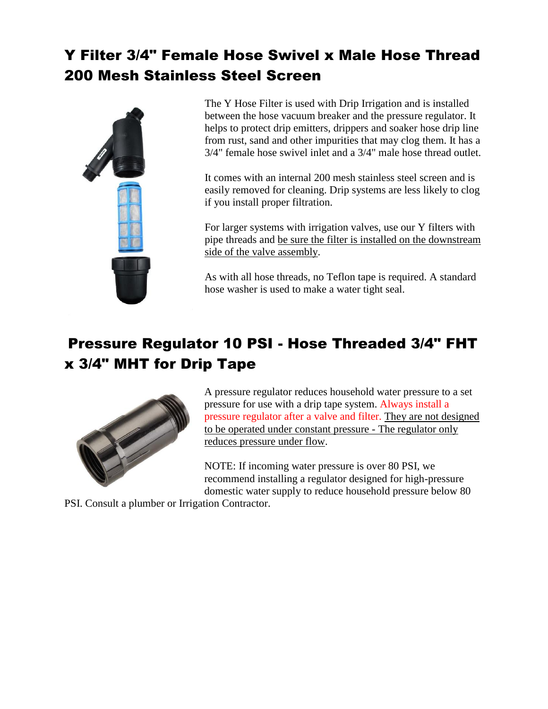## Y Filter 3/4" Female Hose Swivel x Male Hose Thread 200 Mesh Stainless Steel Screen



The [Y Hose Filter](http://www.irrigationdirect.com/irrigation-products-and-supplies/drip-irrigation/drip-tape-and-fittings/t-tape-drip-tape-loc-fittings/y-filter-3-4-female-hose-thread-x-3-4-male-hose-thread-w-200-mesh-filter) is used with Drip Irrigation and is installed between the hose vacuum breaker and the pressure regulator. It helps to protect drip emitters, drippers and soaker hose drip line from rust, sand and other impurities that may clog them. It has a 3/4" female hose swivel inlet and a 3/4" male hose thread outlet.

It comes with an internal 200 mesh stainless steel screen and is easily removed for cleaning. Drip systems are less likely to clog if you install proper filtration.

For larger systems with irrigation valves, use our Y filters with pipe threads and be sure the filter is installed on the downstream side of the valve assembly.

As with all hose threads, no Teflon tape is required. A standard hose washer is used to make a water tight seal.

### Pressure Regulator 10 PSI - Hose Threaded 3/4" FHT x 3/4" MHT for Drip Tape



A pressure regulator reduces household water pressure to a set pressure for use with a [drip tape](http://www.irrigationdirect.com/irrigation-products-and-supplies/drip-irrigation/drip-tape-and-fittings/t-tape-drip-tape) system. Always install a pressure regulator after a [valve](http://www.irrigationdirect.com/irrigation-products-and-supplies/irrigation-valves) and [filter.](http://www.irrigationdirect.com/irrigation-products-and-supplies/drip-irrigation/water-source-connections/filters) They are not designed to be operated under constant pressure - The regulator only reduces pressure under flow.

NOTE: If incoming water pressure is over 80 PSI, we recommend installing a regulator designed for high-pressure domestic water supply to reduce household pressure below 80

PSI. Consult a plumber or Irrigation Contractor.